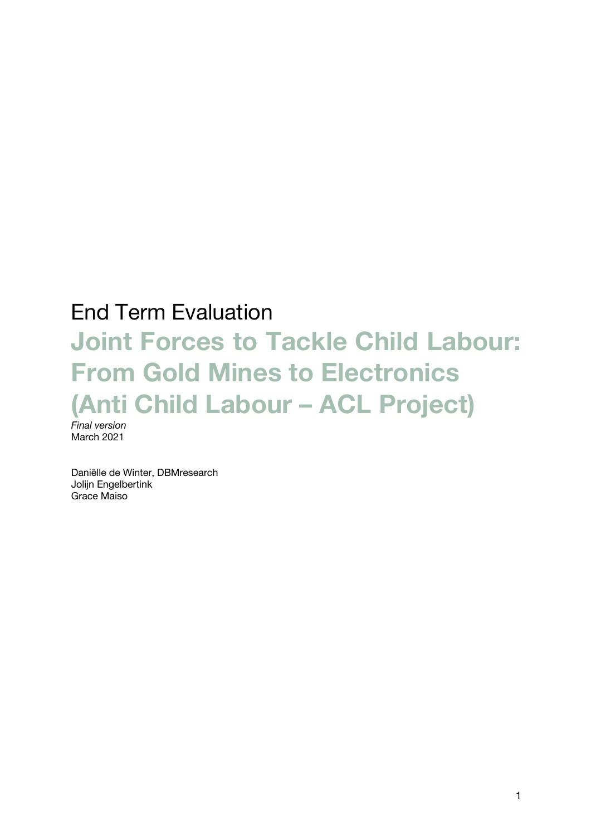# End Term Evaluation

# **Joint Forces to Tackle Child Labour: From Gold Mines to Electronics (Anti Child Labour – ACL Project)** *Final version*

March 2021

Daniëlle de Winter, DBMresearch Jolijn Engelbertink Grace Maiso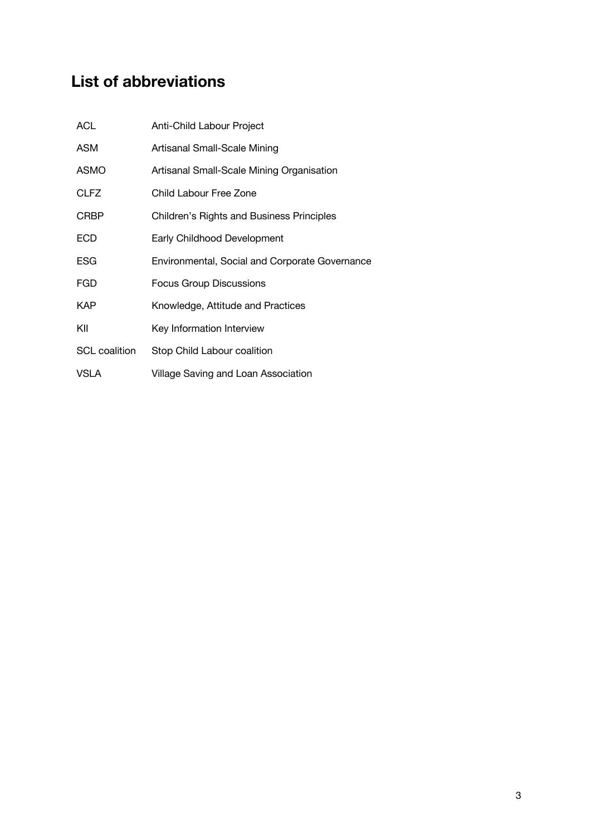# **List of abbreviations**

| <b>ACL</b>           | Anti-Child Labour Project                        |
|----------------------|--------------------------------------------------|
| <b>ASM</b>           | Artisanal Small-Scale Mining                     |
| <b>ASMO</b>          | Artisanal Small-Scale Mining Organisation        |
| <b>CLFZ</b>          | Child Labour Free Zone                           |
| <b>CRBP</b>          | <b>Children's Rights and Business Principles</b> |
| <b>ECD</b>           | Early Childhood Development                      |
| ESG                  | Environmental, Social and Corporate Governance   |
| <b>FGD</b>           | Focus Group Discussions                          |
| <b>KAP</b>           | Knowledge, Attitude and Practices                |
| KII                  | Key Information Interview                        |
| <b>SCL</b> coalition | Stop Child Labour coalition                      |
| VSLA                 | Village Saving and Loan Association              |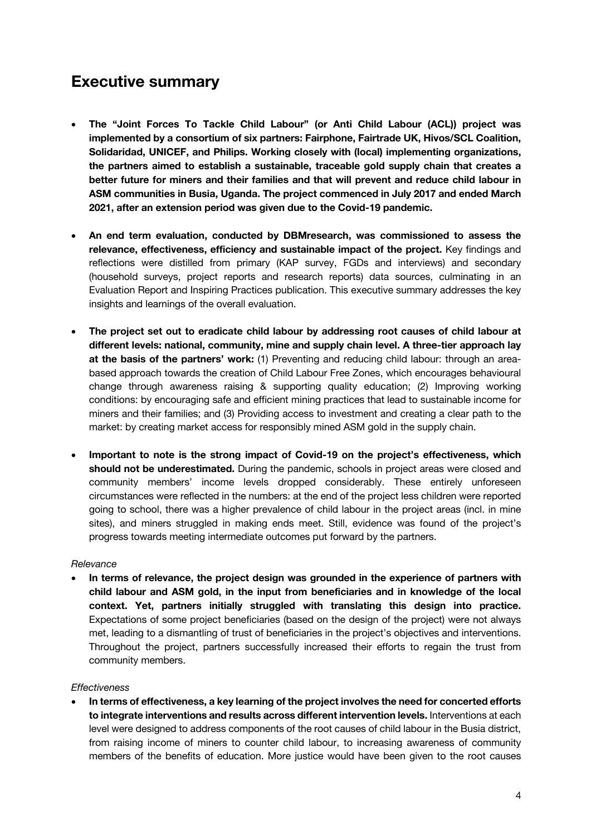### **Executive summary**

- **The "Joint Forces To Tackle Child Labour" (or Anti Child Labour (ACL)) project was implemented by a consortium of six partners: Fairphone, Fairtrade UK, Hivos/SCL Coalition, Solidaridad, UNICEF, and Philips. Working closely with (local) implementing organizations, the partners aimed to establish a sustainable, traceable gold supply chain that creates a better future for miners and their families and that will prevent and reduce child labour in ASM communities in Busia, Uganda. The project commenced in July 2017 and ended March 2021, after an extension period was given due to the Covid-19 pandemic.**
- **An end term evaluation, conducted by DBMresearch, was commissioned to assess the relevance, effectiveness, efficiency and sustainable impact of the project.** Key findings and reflections were distilled from primary (KAP survey, FGDs and interviews) and secondary (household surveys, project reports and research reports) data sources, culminating in an Evaluation Report and Inspiring Practices publication. This executive summary addresses the key insights and learnings of the overall evaluation.
- **The project set out to eradicate child labour by addressing root causes of child labour at different levels: national, community, mine and supply chain level. A three-tier approach lay at the basis of the partners' work:** (1) Preventing and reducing child labour: through an areabased approach towards the creation of Child Labour Free Zones, which encourages behavioural change through awareness raising & supporting quality education; (2) Improving working conditions: by encouraging safe and efficient mining practices that lead to sustainable income for miners and their families; and (3) Providing access to investment and creating a clear path to the market: by creating market access for responsibly mined ASM gold in the supply chain.
- **Important to note is the strong impact of Covid-19 on the project's effectiveness, which should not be underestimated.** During the pandemic, schools in project areas were closed and community members' income levels dropped considerably. These entirely unforeseen circumstances were reflected in the numbers: at the end of the project less children were reported going to school, there was a higher prevalence of child labour in the project areas (incl. in mine sites), and miners struggled in making ends meet. Still, evidence was found of the project's progress towards meeting intermediate outcomes put forward by the partners.

#### *Relevance*

• **In terms of relevance, the project design was grounded in the experience of partners with child labour and ASM gold, in the input from beneficiaries and in knowledge of the local context. Yet, partners initially struggled with translating this design into practice.** Expectations of some project beneficiaries (based on the design of the project) were not always met, leading to a dismantling of trust of beneficiaries in the project's objectives and interventions. Throughout the project, partners successfully increased their efforts to regain the trust from community members.

#### *Effectiveness*

• **In terms of effectiveness, a key learning of the project involves the need for concerted efforts to integrate interventions and results across different intervention levels.** Interventions at each level were designed to address components of the root causes of child labour in the Busia district, from raising income of miners to counter child labour, to increasing awareness of community members of the benefits of education. More justice would have been given to the root causes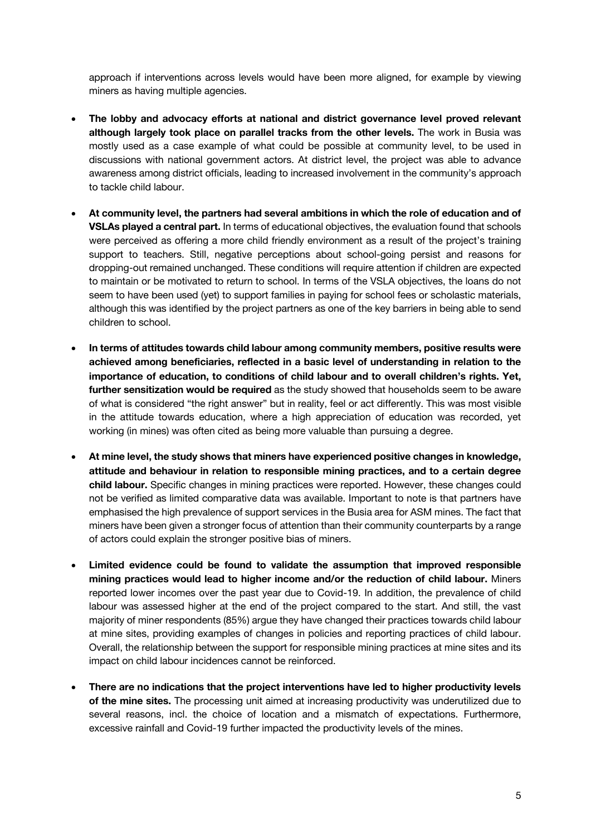approach if interventions across levels would have been more aligned, for example by viewing miners as having multiple agencies.

- **The lobby and advocacy efforts at national and district governance level proved relevant although largely took place on parallel tracks from the other levels.** The work in Busia was mostly used as a case example of what could be possible at community level, to be used in discussions with national government actors. At district level, the project was able to advance awareness among district officials, leading to increased involvement in the community's approach to tackle child labour.
- **At community level, the partners had several ambitions in which the role of education and of VSLAs played a central part.** In terms of educational objectives, the evaluation found that schools were perceived as offering a more child friendly environment as a result of the project's training support to teachers. Still, negative perceptions about school-going persist and reasons for dropping-out remained unchanged. These conditions will require attention if children are expected to maintain or be motivated to return to school. In terms of the VSLA objectives, the loans do not seem to have been used (yet) to support families in paying for school fees or scholastic materials, although this was identified by the project partners as one of the key barriers in being able to send children to school.
- **In terms of attitudes towards child labour among community members, positive results were achieved among beneficiaries, reflected in a basic level of understanding in relation to the importance of education, to conditions of child labour and to overall children's rights. Yet, further sensitization would be required** as the study showed that households seem to be aware of what is considered "the right answer" but in reality, feel or act differently. This was most visible in the attitude towards education, where a high appreciation of education was recorded, yet working (in mines) was often cited as being more valuable than pursuing a degree.
- **At mine level, the study shows that miners have experienced positive changes in knowledge, attitude and behaviour in relation to responsible mining practices, and to a certain degree child labour.** Specific changes in mining practices were reported. However, these changes could not be verified as limited comparative data was available. Important to note is that partners have emphasised the high prevalence of support services in the Busia area for ASM mines. The fact that miners have been given a stronger focus of attention than their community counterparts by a range of actors could explain the stronger positive bias of miners.
- **Limited evidence could be found to validate the assumption that improved responsible mining practices would lead to higher income and/or the reduction of child labour.** Miners reported lower incomes over the past year due to Covid-19. In addition, the prevalence of child labour was assessed higher at the end of the project compared to the start. And still, the vast majority of miner respondents (85%) argue they have changed their practices towards child labour at mine sites, providing examples of changes in policies and reporting practices of child labour. Overall, the relationship between the support for responsible mining practices at mine sites and its impact on child labour incidences cannot be reinforced.
- **There are no indications that the project interventions have led to higher productivity levels of the mine sites.** The processing unit aimed at increasing productivity was underutilized due to several reasons, incl. the choice of location and a mismatch of expectations. Furthermore, excessive rainfall and Covid-19 further impacted the productivity levels of the mines.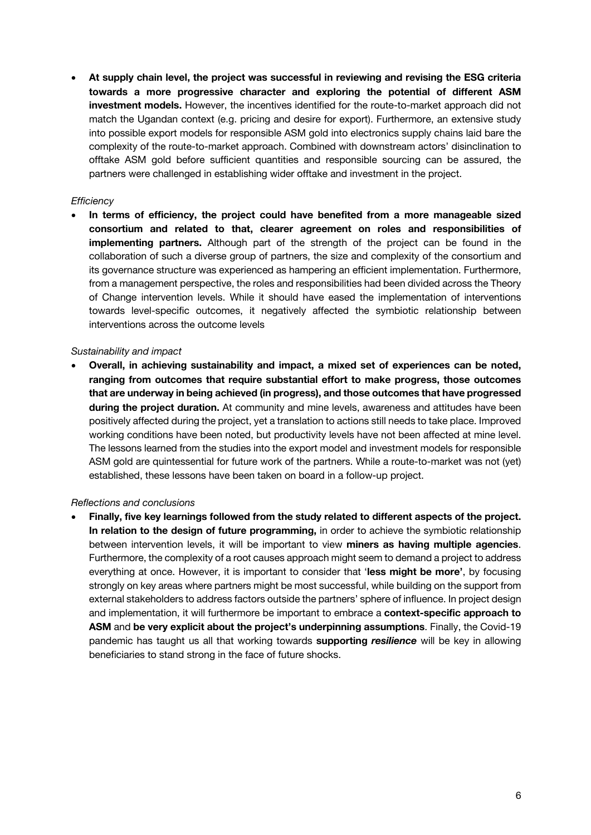• **At supply chain level, the project was successful in reviewing and revising the ESG criteria towards a more progressive character and exploring the potential of different ASM investment models.** However, the incentives identified for the route-to-market approach did not match the Ugandan context (e.g. pricing and desire for export). Furthermore, an extensive study into possible export models for responsible ASM gold into electronics supply chains laid bare the complexity of the route-to-market approach. Combined with downstream actors' disinclination to offtake ASM gold before sufficient quantities and responsible sourcing can be assured, the partners were challenged in establishing wider offtake and investment in the project.

#### *Efficiency*

• **In terms of efficiency, the project could have benefited from a more manageable sized consortium and related to that, clearer agreement on roles and responsibilities of implementing partners.** Although part of the strength of the project can be found in the collaboration of such a diverse group of partners, the size and complexity of the consortium and its governance structure was experienced as hampering an efficient implementation. Furthermore, from a management perspective, the roles and responsibilities had been divided across the Theory of Change intervention levels. While it should have eased the implementation of interventions towards level-specific outcomes, it negatively affected the symbiotic relationship between interventions across the outcome levels

#### *Sustainability and impact*

• **Overall, in achieving sustainability and impact, a mixed set of experiences can be noted, ranging from outcomes that require substantial effort to make progress, those outcomes that are underway in being achieved (in progress), and those outcomes that have progressed during the project duration.** At community and mine levels, awareness and attitudes have been positively affected during the project, yet a translation to actions still needs to take place. Improved working conditions have been noted, but productivity levels have not been affected at mine level. The lessons learned from the studies into the export model and investment models for responsible ASM gold are quintessential for future work of the partners. While a route-to-market was not (yet) established, these lessons have been taken on board in a follow-up project.

#### *Reflections and conclusions*

• **Finally, five key learnings followed from the study related to different aspects of the project. In relation to the design of future programming,** in order to achieve the symbiotic relationship between intervention levels, it will be important to view **miners as having multiple agencies**. Furthermore, the complexity of a root causes approach might seem to demand a project to address everything at once. However, it is important to consider that '**less might be more'**, by focusing strongly on key areas where partners might be most successful, while building on the support from external stakeholders to address factors outside the partners' sphere of influence. In project design and implementation, it will furthermore be important to embrace a **context-specific approach to ASM** and **be very explicit about the project's underpinning assumptions**. Finally, the Covid-19 pandemic has taught us all that working towards **supporting** *resilience* will be key in allowing beneficiaries to stand strong in the face of future shocks.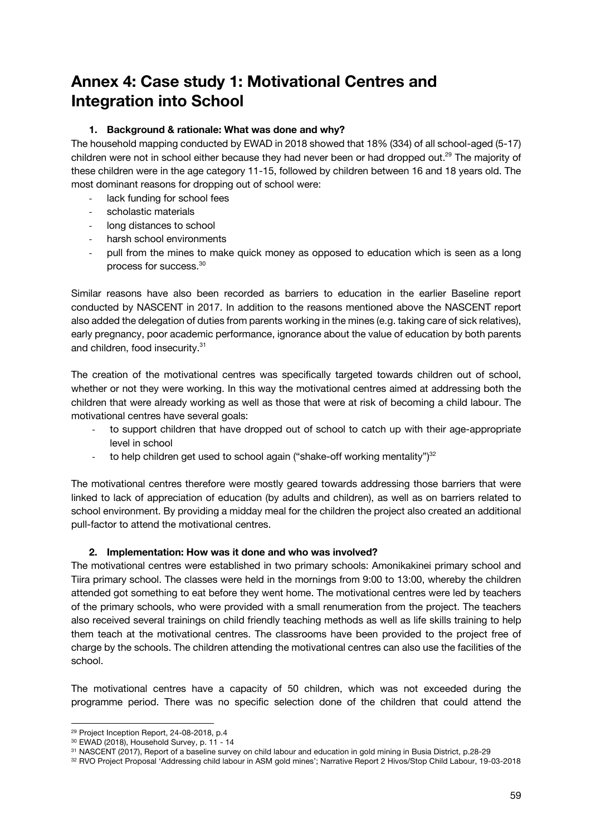# **Annex 4: Case study 1: Motivational Centres and Integration into School**

#### **1. Background & rationale: What was done and why?**

The household mapping conducted by EWAD in 2018 showed that 18% (334) of all school-aged (5-17) children were not in school either because they had never been or had dropped out.<sup>29</sup> The majority of these children were in the age category 11-15, followed by children between 16 and 18 years old. The most dominant reasons for dropping out of school were:

- lack funding for school fees
- scholastic materials
- long distances to school
- harsh school environments
- pull from the mines to make quick money as opposed to education which is seen as a long process for success.30

Similar reasons have also been recorded as barriers to education in the earlier Baseline report conducted by NASCENT in 2017. In addition to the reasons mentioned above the NASCENT report also added the delegation of duties from parents working in the mines (e.g. taking care of sick relatives), early pregnancy, poor academic performance, ignorance about the value of education by both parents and children, food insecurity.31

The creation of the motivational centres was specifically targeted towards children out of school, whether or not they were working. In this way the motivational centres aimed at addressing both the children that were already working as well as those that were at risk of becoming a child labour. The motivational centres have several goals:

- to support children that have dropped out of school to catch up with their age-appropriate level in school
- to help children get used to school again ("shake-off working mentality") $32$

The motivational centres therefore were mostly geared towards addressing those barriers that were linked to lack of appreciation of education (by adults and children), as well as on barriers related to school environment. By providing a midday meal for the children the project also created an additional pull-factor to attend the motivational centres.

#### **2. Implementation: How was it done and who was involved?**

The motivational centres were established in two primary schools: Amonikakinei primary school and Tiira primary school. The classes were held in the mornings from 9:00 to 13:00, whereby the children attended got something to eat before they went home. The motivational centres were led by teachers of the primary schools, who were provided with a small renumeration from the project. The teachers also received several trainings on child friendly teaching methods as well as life skills training to help them teach at the motivational centres. The classrooms have been provided to the project free of charge by the schools. The children attending the motivational centres can also use the facilities of the school.

The motivational centres have a capacity of 50 children, which was not exceeded during the programme period. There was no specific selection done of the children that could attend the

<sup>29</sup> Project Inception Report, 24-08-2018, p.4

<sup>&</sup>lt;sup>30</sup> EWAD (2018), Household Survey, p. 11 - 14<br><sup>31</sup> NASCENT (2017), Report of a baseline survey on child labour and education in gold mining in Busia District, p.28-29

<sup>32</sup> RVO Project Proposal 'Addressing child labour in ASM gold mines'; Narrative Report 2 Hivos/Stop Child Labour, 19-03-2018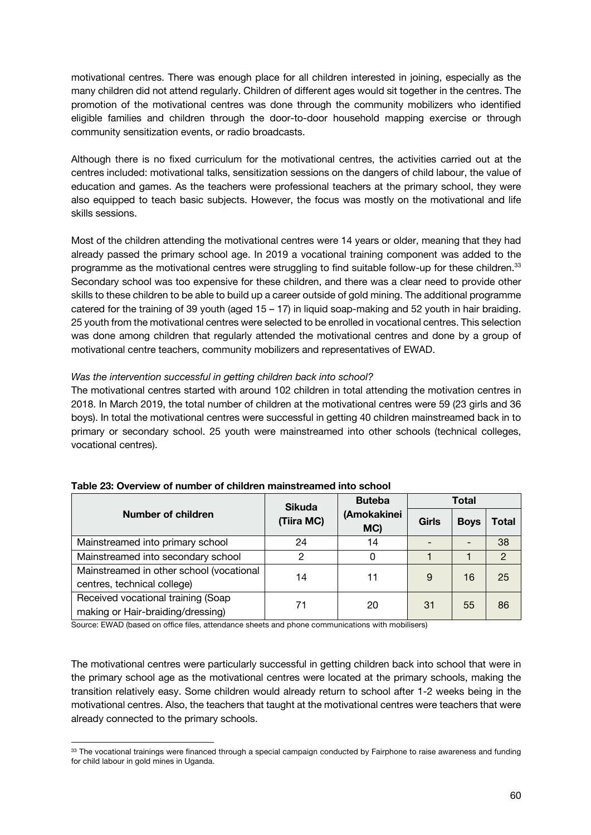motivational centres. There was enough place for all children interested in joining, especially as the many children did not attend regularly. Children of different ages would sit together in the centres. The promotion of the motivational centres was done through the community mobilizers who identified eligible families and children through the door-to-door household mapping exercise or through community sensitization events, or radio broadcasts.

Although there is no fixed curriculum for the motivational centres, the activities carried out at the centres included: motivational talks, sensitization sessions on the dangers of child labour, the value of education and games. As the teachers were professional teachers at the primary school, they were also equipped to teach basic subjects. However, the focus was mostly on the motivational and life skills sessions.

Most of the children attending the motivational centres were 14 years or older, meaning that they had already passed the primary school age. In 2019 a vocational training component was added to the programme as the motivational centres were struggling to find suitable follow-up for these children.<sup>33</sup> Secondary school was too expensive for these children, and there was a clear need to provide other skills to these children to be able to build up a career outside of gold mining. The additional programme catered for the training of 39 youth (aged  $15 - 17$ ) in liquid soap-making and 52 youth in hair braiding. 25 youth from the motivational centres were selected to be enrolled in vocational centres. This selection was done among children that regularly attended the motivational centres and done by a group of motivational centre teachers, community mobilizers and representatives of EWAD.

#### *Was the intervention successful in getting children back into school?*

The motivational centres started with around 102 children in total attending the motivation centres in 2018. In March 2019, the total number of children at the motivational centres were 59 (23 girls and 36 boys). In total the motivational centres were successful in getting 40 children mainstreamed back in to primary or secondary school. 25 youth were mainstreamed into other schools (technical colleges, vocational centres).

|                                                                         | <b>Sikuda</b> | <b>Buteba</b>      | Total |             |                |
|-------------------------------------------------------------------------|---------------|--------------------|-------|-------------|----------------|
| Number of children                                                      | (Tiira MC)    | (Amokakinei<br>MC) | Girls | <b>Boys</b> | Total          |
| Mainstreamed into primary school                                        | 24            | 14                 |       |             | 38             |
| Mainstreamed into secondary school                                      | 2             | 0                  |       |             | $\overline{2}$ |
| Mainstreamed in other school (vocational<br>centres, technical college) | 14            | 11                 | 9     | 16          | 25             |
| Received vocational training (Soap<br>making or Hair-braiding/dressing) | 71            | 20                 | -31   | 55          | 86             |

|  | Table 23: Overview of number of children mainstreamed into school |  |  |  |  |
|--|-------------------------------------------------------------------|--|--|--|--|
|--|-------------------------------------------------------------------|--|--|--|--|

Source: EWAD (based on office files, attendance sheets and phone communications with mobilisers)

The motivational centres were particularly successful in getting children back into school that were in the primary school age as the motivational centres were located at the primary schools, making the transition relatively easy. Some children would already return to school after 1-2 weeks being in the motivational centres. Also, the teachers that taught at the motivational centres were teachers that were already connected to the primary schools.

<sup>&</sup>lt;sup>33</sup> The vocational trainings were financed through a special campaign conducted by Fairphone to raise awareness and funding for child labour in gold mines in Uganda.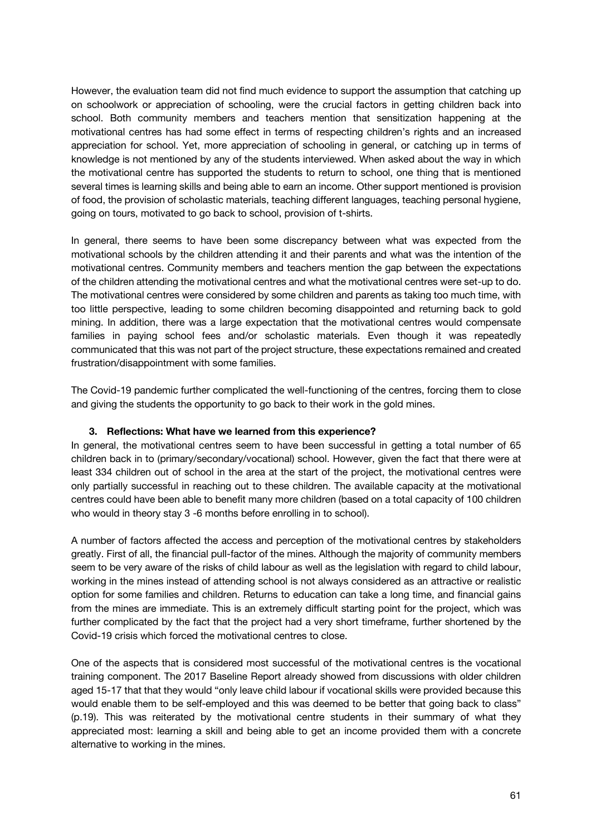However, the evaluation team did not find much evidence to support the assumption that catching up on schoolwork or appreciation of schooling, were the crucial factors in getting children back into school. Both community members and teachers mention that sensitization happening at the motivational centres has had some effect in terms of respecting children's rights and an increased appreciation for school. Yet, more appreciation of schooling in general, or catching up in terms of knowledge is not mentioned by any of the students interviewed. When asked about the way in which the motivational centre has supported the students to return to school, one thing that is mentioned several times is learning skills and being able to earn an income. Other support mentioned is provision of food, the provision of scholastic materials, teaching different languages, teaching personal hygiene, going on tours, motivated to go back to school, provision of t-shirts.

In general, there seems to have been some discrepancy between what was expected from the motivational schools by the children attending it and their parents and what was the intention of the motivational centres. Community members and teachers mention the gap between the expectations of the children attending the motivational centres and what the motivational centres were set-up to do. The motivational centres were considered by some children and parents as taking too much time, with too little perspective, leading to some children becoming disappointed and returning back to gold mining. In addition, there was a large expectation that the motivational centres would compensate families in paying school fees and/or scholastic materials. Even though it was repeatedly communicated that this was not part of the project structure, these expectations remained and created frustration/disappointment with some families.

The Covid-19 pandemic further complicated the well-functioning of the centres, forcing them to close and giving the students the opportunity to go back to their work in the gold mines.

#### **3. Reflections: What have we learned from this experience?**

In general, the motivational centres seem to have been successful in getting a total number of 65 children back in to (primary/secondary/vocational) school. However, given the fact that there were at least 334 children out of school in the area at the start of the project, the motivational centres were only partially successful in reaching out to these children. The available capacity at the motivational centres could have been able to benefit many more children (based on a total capacity of 100 children who would in theory stay 3 -6 months before enrolling in to school).

A number of factors affected the access and perception of the motivational centres by stakeholders greatly. First of all, the financial pull-factor of the mines. Although the majority of community members seem to be very aware of the risks of child labour as well as the legislation with regard to child labour, working in the mines instead of attending school is not always considered as an attractive or realistic option for some families and children. Returns to education can take a long time, and financial gains from the mines are immediate. This is an extremely difficult starting point for the project, which was further complicated by the fact that the project had a very short timeframe, further shortened by the Covid-19 crisis which forced the motivational centres to close.

One of the aspects that is considered most successful of the motivational centres is the vocational training component. The 2017 Baseline Report already showed from discussions with older children aged 15-17 that that they would "only leave child labour if vocational skills were provided because this would enable them to be self-employed and this was deemed to be better that going back to class" (p.19). This was reiterated by the motivational centre students in their summary of what they appreciated most: learning a skill and being able to get an income provided them with a concrete alternative to working in the mines.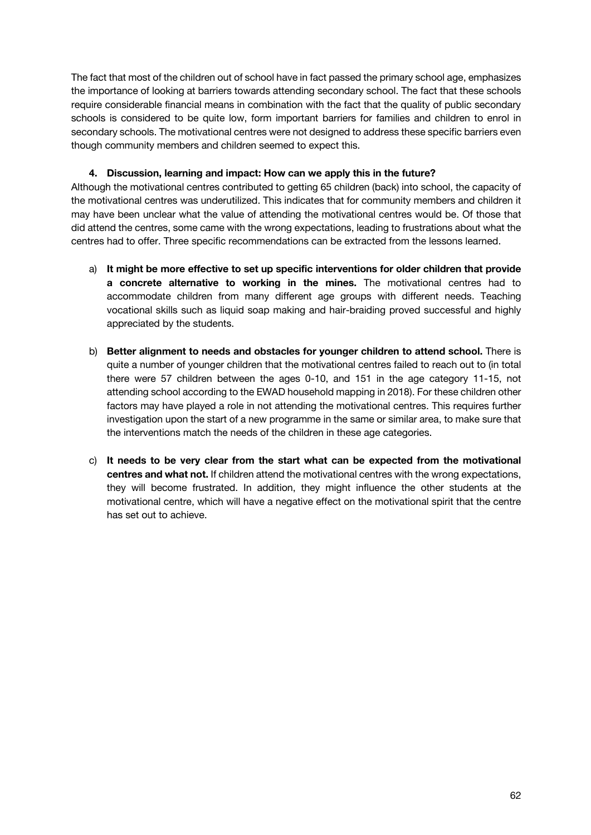The fact that most of the children out of school have in fact passed the primary school age, emphasizes the importance of looking at barriers towards attending secondary school. The fact that these schools require considerable financial means in combination with the fact that the quality of public secondary schools is considered to be quite low, form important barriers for families and children to enrol in secondary schools. The motivational centres were not designed to address these specific barriers even though community members and children seemed to expect this.

#### **4. Discussion, learning and impact: How can we apply this in the future?**

Although the motivational centres contributed to getting 65 children (back) into school, the capacity of the motivational centres was underutilized. This indicates that for community members and children it may have been unclear what the value of attending the motivational centres would be. Of those that did attend the centres, some came with the wrong expectations, leading to frustrations about what the centres had to offer. Three specific recommendations can be extracted from the lessons learned.

- a) **It might be more effective to set up specific interventions for older children that provide a concrete alternative to working in the mines.** The motivational centres had to accommodate children from many different age groups with different needs. Teaching vocational skills such as liquid soap making and hair-braiding proved successful and highly appreciated by the students.
- b) **Better alignment to needs and obstacles for younger children to attend school.** There is quite a number of younger children that the motivational centres failed to reach out to (in total there were 57 children between the ages 0-10, and 151 in the age category 11-15, not attending school according to the EWAD household mapping in 2018). For these children other factors may have played a role in not attending the motivational centres. This requires further investigation upon the start of a new programme in the same or similar area, to make sure that the interventions match the needs of the children in these age categories.
- c) **It needs to be very clear from the start what can be expected from the motivational centres and what not.** If children attend the motivational centres with the wrong expectations, they will become frustrated. In addition, they might influence the other students at the motivational centre, which will have a negative effect on the motivational spirit that the centre has set out to achieve.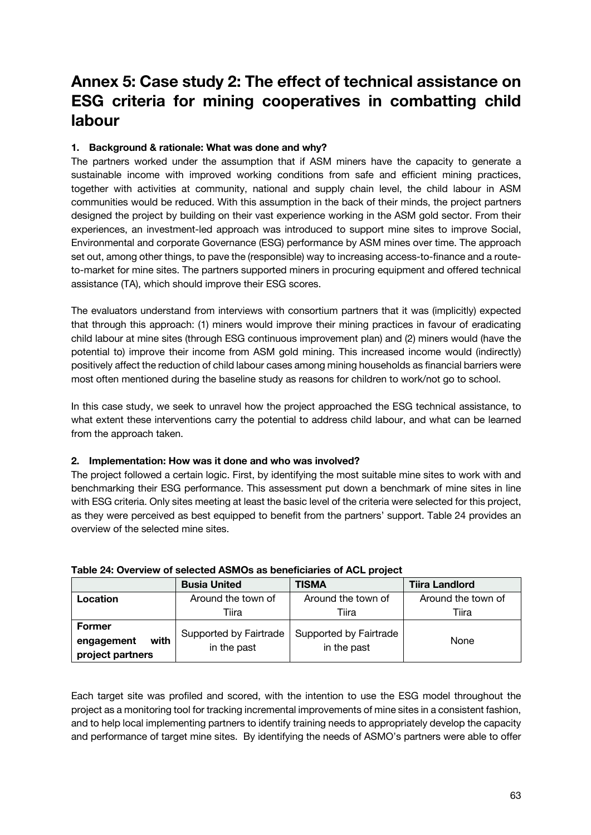## **Annex 5: Case study 2: The effect of technical assistance on ESG criteria for mining cooperatives in combatting child labour**

#### **1. Background & rationale: What was done and why?**

The partners worked under the assumption that if ASM miners have the capacity to generate a sustainable income with improved working conditions from safe and efficient mining practices, together with activities at community, national and supply chain level, the child labour in ASM communities would be reduced. With this assumption in the back of their minds, the project partners designed the project by building on their vast experience working in the ASM gold sector. From their experiences, an investment-led approach was introduced to support mine sites to improve Social, Environmental and corporate Governance (ESG) performance by ASM mines over time. The approach set out, among other things, to pave the (responsible) way to increasing access-to-finance and a routeto-market for mine sites. The partners supported miners in procuring equipment and offered technical assistance (TA), which should improve their ESG scores.

The evaluators understand from interviews with consortium partners that it was (implicitly) expected that through this approach: (1) miners would improve their mining practices in favour of eradicating child labour at mine sites (through ESG continuous improvement plan) and (2) miners would (have the potential to) improve their income from ASM gold mining. This increased income would (indirectly) positively affect the reduction of child labour cases among mining households as financial barriers were most often mentioned during the baseline study as reasons for children to work/not go to school.

In this case study, we seek to unravel how the project approached the ESG technical assistance, to what extent these interventions carry the potential to address child labour, and what can be learned from the approach taken.

#### **2. Implementation: How was it done and who was involved?**

The project followed a certain logic. First, by identifying the most suitable mine sites to work with and benchmarking their ESG performance. This assessment put down a benchmark of mine sites in line with ESG criteria. Only sites meeting at least the basic level of the criteria were selected for this project, as they were perceived as best equipped to benefit from the partners' support. Table 24 provides an overview of the selected mine sites.

|                                        | <b>Busia United</b>                   | <b>TISMA</b>           | <b>Tiira Landlord</b> |  |
|----------------------------------------|---------------------------------------|------------------------|-----------------------|--|
| <b>Location</b>                        | Around the town of                    | Around the town of     | Around the town of    |  |
|                                        | Tiira                                 | Tiira                  | Tiira                 |  |
| <b>Former</b>                          |                                       | Supported by Fairtrade |                       |  |
| with<br>engagement<br>project partners | Supported by Fairtrade<br>in the past | in the past            | None                  |  |

#### **Table 24: Overview of selected ASMOs as beneficiaries of ACL project**

Each target site was profiled and scored, with the intention to use the ESG model throughout the project as a monitoring tool for tracking incremental improvements of mine sites in a consistent fashion, and to help local implementing partners to identify training needs to appropriately develop the capacity and performance of target mine sites. By identifying the needs of ASMO's partners were able to offer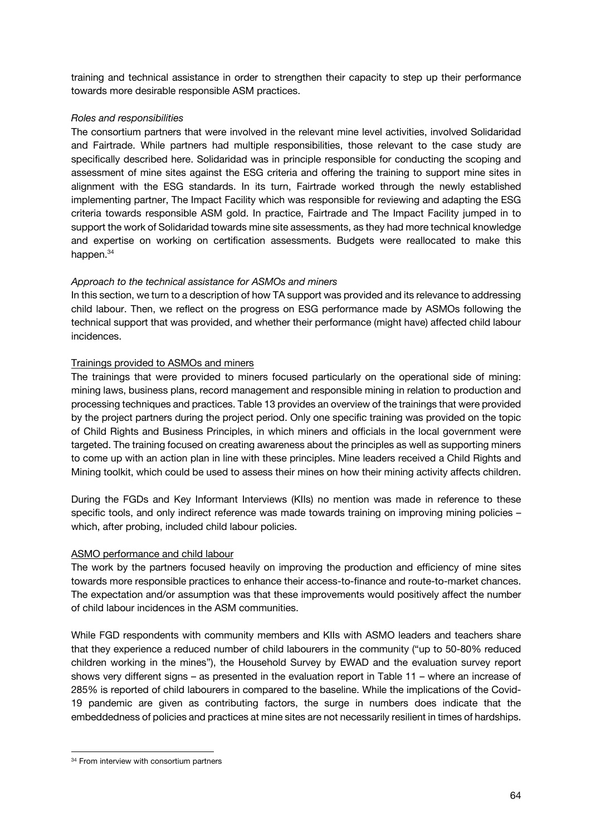training and technical assistance in order to strengthen their capacity to step up their performance towards more desirable responsible ASM practices.

#### *Roles and responsibilities*

The consortium partners that were involved in the relevant mine level activities, involved Solidaridad and Fairtrade. While partners had multiple responsibilities, those relevant to the case study are specifically described here. Solidaridad was in principle responsible for conducting the scoping and assessment of mine sites against the ESG criteria and offering the training to support mine sites in alignment with the ESG standards. In its turn, Fairtrade worked through the newly established implementing partner, The Impact Facility which was responsible for reviewing and adapting the ESG criteria towards responsible ASM gold. In practice, Fairtrade and The Impact Facility jumped in to support the work of Solidaridad towards mine site assessments, as they had more technical knowledge and expertise on working on certification assessments. Budgets were reallocated to make this happen.<sup>34</sup>

#### *Approach to the technical assistance for ASMOs and miners*

In this section, we turn to a description of how TA support was provided and its relevance to addressing child labour. Then, we reflect on the progress on ESG performance made by ASMOs following the technical support that was provided, and whether their performance (might have) affected child labour incidences.

#### Trainings provided to ASMOs and miners

The trainings that were provided to miners focused particularly on the operational side of mining: mining laws, business plans, record management and responsible mining in relation to production and processing techniques and practices. Table 13 provides an overview of the trainings that were provided by the project partners during the project period. Only one specific training was provided on the topic of Child Rights and Business Principles, in which miners and officials in the local government were targeted. The training focused on creating awareness about the principles as well as supporting miners to come up with an action plan in line with these principles. Mine leaders received a Child Rights and Mining toolkit, which could be used to assess their mines on how their mining activity affects children.

During the FGDs and Key Informant Interviews (KIIs) no mention was made in reference to these specific tools, and only indirect reference was made towards training on improving mining policies which, after probing, included child labour policies.

#### ASMO performance and child labour

The work by the partners focused heavily on improving the production and efficiency of mine sites towards more responsible practices to enhance their access-to-finance and route-to-market chances. The expectation and/or assumption was that these improvements would positively affect the number of child labour incidences in the ASM communities.

While FGD respondents with community members and KIIs with ASMO leaders and teachers share that they experience a reduced number of child labourers in the community ("up to 50-80% reduced children working in the mines"), the Household Survey by EWAD and the evaluation survey report shows very different signs – as presented in the evaluation report in Table 11 – where an increase of 285% is reported of child labourers in compared to the baseline. While the implications of the Covid-19 pandemic are given as contributing factors, the surge in numbers does indicate that the embeddedness of policies and practices at mine sites are not necessarily resilient in times of hardships.

<sup>34</sup> From interview with consortium partners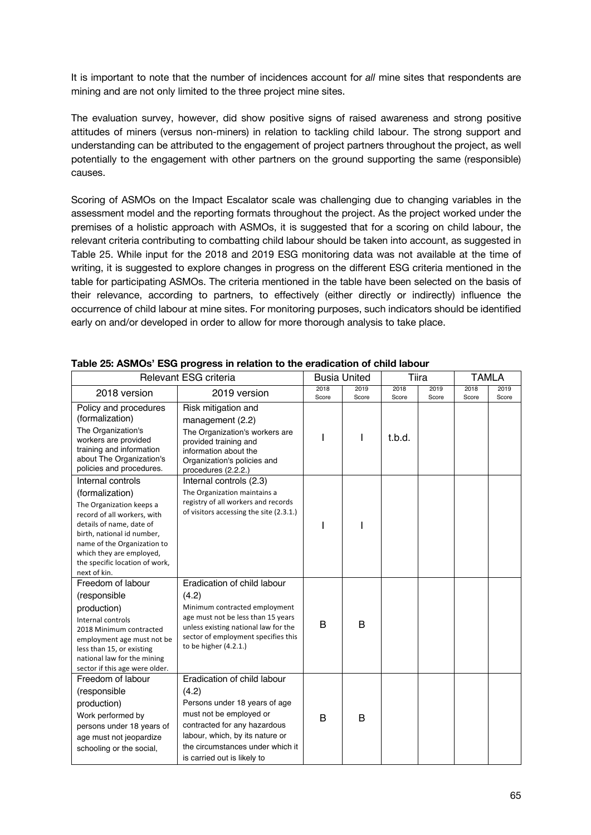It is important to note that the number of incidences account for *all* mine sites that respondents are mining and are not only limited to the three project mine sites.

The evaluation survey, however, did show positive signs of raised awareness and strong positive attitudes of miners (versus non-miners) in relation to tackling child labour. The strong support and understanding can be attributed to the engagement of project partners throughout the project, as well potentially to the engagement with other partners on the ground supporting the same (responsible) causes.

Scoring of ASMOs on the Impact Escalator scale was challenging due to changing variables in the assessment model and the reporting formats throughout the project. As the project worked under the premises of a holistic approach with ASMOs, it is suggested that for a scoring on child labour, the relevant criteria contributing to combatting child labour should be taken into account, as suggested in Table 25. While input for the 2018 and 2019 ESG monitoring data was not available at the time of writing, it is suggested to explore changes in progress on the different ESG criteria mentioned in the table for participating ASMOs. The criteria mentioned in the table have been selected on the basis of their relevance, according to partners, to effectively (either directly or indirectly) influence the occurrence of child labour at mine sites. For monitoring purposes, such indicators should be identified early on and/or developed in order to allow for more thorough analysis to take place.

|                                                                                                                                                                                                                                                                        | Relevant ESG criteria                                                                                                                                                                                                                  |               | <b>Busia United</b> |               | Tiira         |               | <b>TAMLA</b>  |
|------------------------------------------------------------------------------------------------------------------------------------------------------------------------------------------------------------------------------------------------------------------------|----------------------------------------------------------------------------------------------------------------------------------------------------------------------------------------------------------------------------------------|---------------|---------------------|---------------|---------------|---------------|---------------|
| 2018 version                                                                                                                                                                                                                                                           | 2019 version                                                                                                                                                                                                                           | 2018<br>Score | 2019<br>Score       | 2018<br>Score | 2019<br>Score | 2018<br>Score | 2019<br>Score |
| Policy and procedures<br>(formalization)<br>The Organization's<br>workers are provided<br>training and information<br>about The Organization's<br>policies and procedures.                                                                                             | Risk mitigation and<br>management (2.2)<br>The Organization's workers are<br>provided training and<br>information about the<br>Organization's policies and<br>procedures (2.2.2.)                                                      |               | ı                   | t.b.d.        |               |               |               |
| Internal controls<br>(formalization)<br>The Organization keeps a<br>record of all workers, with<br>details of name, date of<br>birth, national id number,<br>name of the Organization to<br>which they are employed,<br>the specific location of work,<br>next of kin. | Internal controls (2.3)<br>The Organization maintains a<br>registry of all workers and records<br>of visitors accessing the site (2.3.1.)                                                                                              |               |                     |               |               |               |               |
| Freedom of labour<br>(responsible<br>production)<br>Internal controls<br>2018 Minimum contracted<br>employment age must not be<br>less than 15, or existing<br>national law for the mining<br>sector if this age were older.                                           | Eradication of child labour<br>(4.2)<br>Minimum contracted employment<br>age must not be less than 15 years<br>unless existing national law for the<br>sector of employment specifies this<br>to be higher (4.2.1.)                    | B             | B                   |               |               |               |               |
| Freedom of labour<br>(responsible<br>production)<br>Work performed by<br>persons under 18 years of<br>age must not jeopardize<br>schooling or the social,                                                                                                              | Eradication of child labour<br>(4.2)<br>Persons under 18 years of age<br>must not be employed or<br>contracted for any hazardous<br>labour, which, by its nature or<br>the circumstances under which it<br>is carried out is likely to | B             | в                   |               |               |               |               |

#### **Table 25: ASMOs' ESG progress in relation to the eradication of child labour**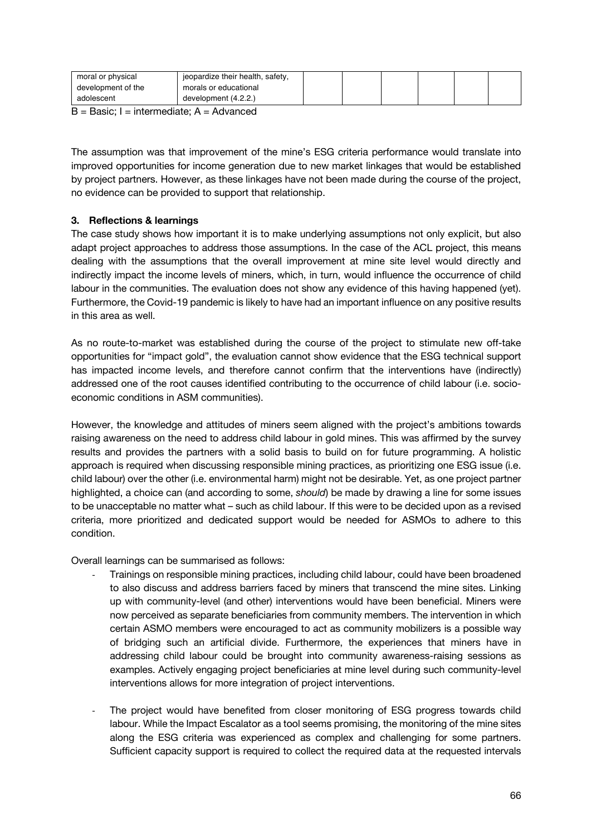| development of the<br>morals or educational | moral or physical | jeopardize their health, safety, |  |  |  |  |
|---------------------------------------------|-------------------|----------------------------------|--|--|--|--|
|                                             |                   |                                  |  |  |  |  |
|                                             | adolescent        | development (4.2.2.)             |  |  |  |  |

 $B =$  Basic; I = intermediate; A = Advanced

The assumption was that improvement of the mine's ESG criteria performance would translate into improved opportunities for income generation due to new market linkages that would be established by project partners. However, as these linkages have not been made during the course of the project, no evidence can be provided to support that relationship.

#### **3. Reflections & learnings**

The case study shows how important it is to make underlying assumptions not only explicit, but also adapt project approaches to address those assumptions. In the case of the ACL project, this means dealing with the assumptions that the overall improvement at mine site level would directly and indirectly impact the income levels of miners, which, in turn, would influence the occurrence of child labour in the communities. The evaluation does not show any evidence of this having happened (yet). Furthermore, the Covid-19 pandemic is likely to have had an important influence on any positive results in this area as well.

As no route-to-market was established during the course of the project to stimulate new off-take opportunities for "impact gold", the evaluation cannot show evidence that the ESG technical support has impacted income levels, and therefore cannot confirm that the interventions have (indirectly) addressed one of the root causes identified contributing to the occurrence of child labour (i.e. socioeconomic conditions in ASM communities).

However, the knowledge and attitudes of miners seem aligned with the project's ambitions towards raising awareness on the need to address child labour in gold mines. This was affirmed by the survey results and provides the partners with a solid basis to build on for future programming. A holistic approach is required when discussing responsible mining practices, as prioritizing one ESG issue (i.e. child labour) over the other (i.e. environmental harm) might not be desirable. Yet, as one project partner highlighted, a choice can (and according to some, *should*) be made by drawing a line for some issues to be unacceptable no matter what – such as child labour. If this were to be decided upon as a revised criteria, more prioritized and dedicated support would be needed for ASMOs to adhere to this condition.

Overall learnings can be summarised as follows:

- Trainings on responsible mining practices, including child labour, could have been broadened to also discuss and address barriers faced by miners that transcend the mine sites. Linking up with community-level (and other) interventions would have been beneficial. Miners were now perceived as separate beneficiaries from community members. The intervention in which certain ASMO members were encouraged to act as community mobilizers is a possible way of bridging such an artificial divide. Furthermore, the experiences that miners have in addressing child labour could be brought into community awareness-raising sessions as examples. Actively engaging project beneficiaries at mine level during such community-level interventions allows for more integration of project interventions.
- The project would have benefited from closer monitoring of ESG progress towards child labour. While the Impact Escalator as a tool seems promising, the monitoring of the mine sites along the ESG criteria was experienced as complex and challenging for some partners. Sufficient capacity support is required to collect the required data at the requested intervals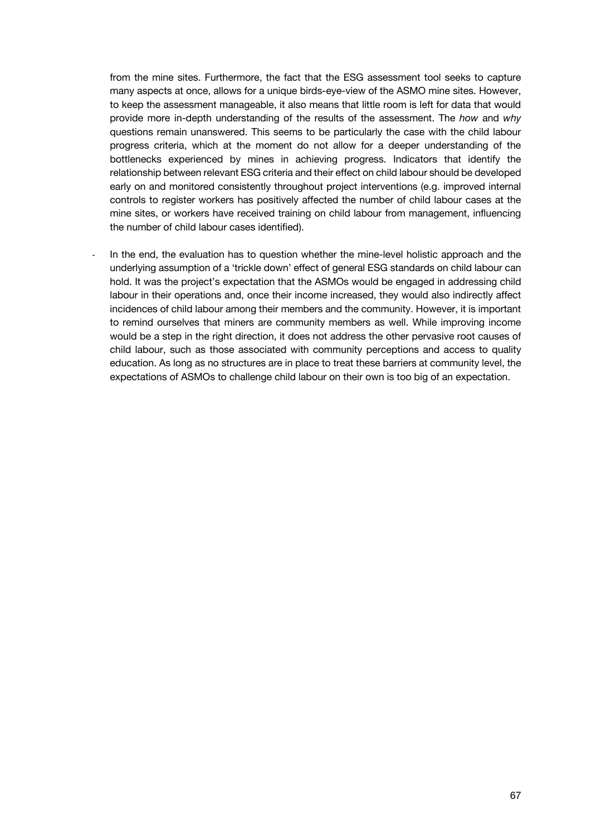from the mine sites. Furthermore, the fact that the ESG assessment tool seeks to capture many aspects at once, allows for a unique birds-eye-view of the ASMO mine sites. However, to keep the assessment manageable, it also means that little room is left for data that would provide more in-depth understanding of the results of the assessment. The *how* and *why* questions remain unanswered. This seems to be particularly the case with the child labour progress criteria, which at the moment do not allow for a deeper understanding of the bottlenecks experienced by mines in achieving progress. Indicators that identify the relationship between relevant ESG criteria and their effect on child labour should be developed early on and monitored consistently throughout project interventions (e.g. improved internal controls to register workers has positively affected the number of child labour cases at the mine sites, or workers have received training on child labour from management, influencing the number of child labour cases identified).

In the end, the evaluation has to question whether the mine-level holistic approach and the underlying assumption of a 'trickle down' effect of general ESG standards on child labour can hold. It was the project's expectation that the ASMOs would be engaged in addressing child labour in their operations and, once their income increased, they would also indirectly affect incidences of child labour among their members and the community. However, it is important to remind ourselves that miners are community members as well. While improving income would be a step in the right direction, it does not address the other pervasive root causes of child labour, such as those associated with community perceptions and access to quality education. As long as no structures are in place to treat these barriers at community level, the expectations of ASMOs to challenge child labour on their own is too big of an expectation.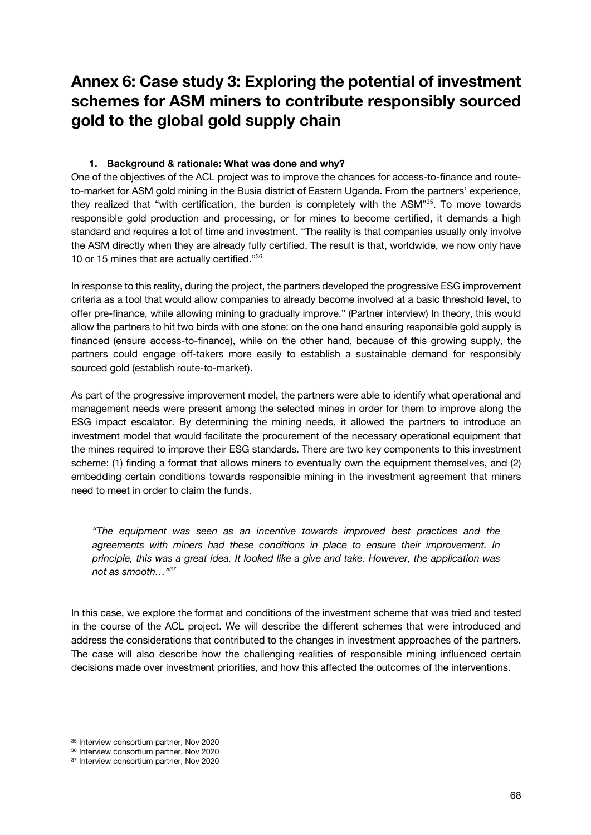### **Annex 6: Case study 3: Exploring the potential of investment schemes for ASM miners to contribute responsibly sourced gold to the global gold supply chain**

#### **1. Background & rationale: What was done and why?**

One of the objectives of the ACL project was to improve the chances for access-to-finance and routeto-market for ASM gold mining in the Busia district of Eastern Uganda. From the partners' experience, they realized that "with certification, the burden is completely with the ASM"35. To move towards responsible gold production and processing, or for mines to become certified, it demands a high standard and requires a lot of time and investment. "The reality is that companies usually only involve the ASM directly when they are already fully certified. The result is that, worldwide, we now only have 10 or 15 mines that are actually certified."36

In response to this reality, during the project, the partners developed the progressive ESG improvement criteria as a tool that would allow companies to already become involved at a basic threshold level, to offer pre-finance, while allowing mining to gradually improve." (Partner interview) In theory, this would allow the partners to hit two birds with one stone: on the one hand ensuring responsible gold supply is financed (ensure access-to-finance), while on the other hand, because of this growing supply, the partners could engage off-takers more easily to establish a sustainable demand for responsibly sourced gold (establish route-to-market).

As part of the progressive improvement model, the partners were able to identify what operational and management needs were present among the selected mines in order for them to improve along the ESG impact escalator. By determining the mining needs, it allowed the partners to introduce an investment model that would facilitate the procurement of the necessary operational equipment that the mines required to improve their ESG standards. There are two key components to this investment scheme: (1) finding a format that allows miners to eventually own the equipment themselves, and (2) embedding certain conditions towards responsible mining in the investment agreement that miners need to meet in order to claim the funds.

*"The equipment was seen as an incentive towards improved best practices and the agreements with miners had these conditions in place to ensure their improvement. In principle, this was a great idea. It looked like a give and take. However, the application was not as smooth…"37*

In this case, we explore the format and conditions of the investment scheme that was tried and tested in the course of the ACL project. We will describe the different schemes that were introduced and address the considerations that contributed to the changes in investment approaches of the partners. The case will also describe how the challenging realities of responsible mining influenced certain decisions made over investment priorities, and how this affected the outcomes of the interventions.

<sup>&</sup>lt;sup>35</sup> Interview consortium partner, Nov 2020

<sup>36</sup> Interview consortium partner, Nov 2020

<sup>37</sup> Interview consortium partner, Nov 2020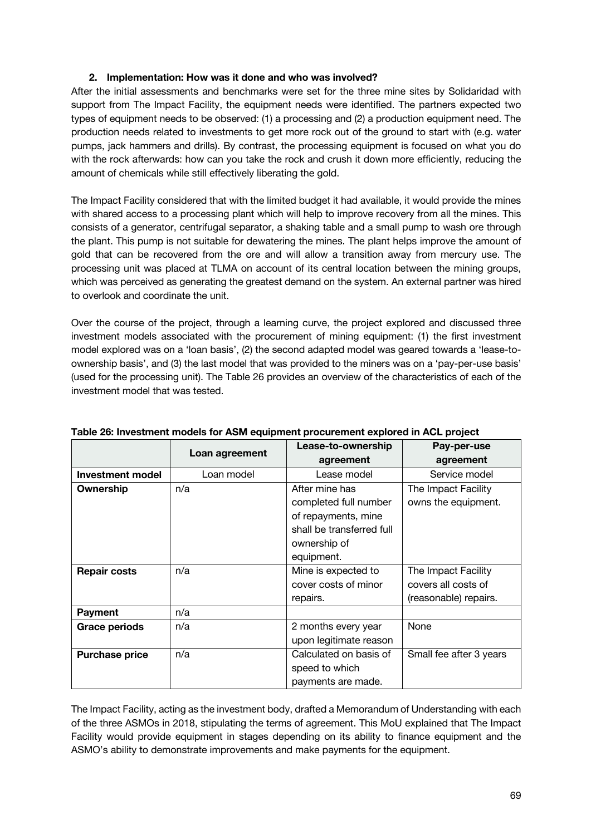#### **2. Implementation: How was it done and who was involved?**

After the initial assessments and benchmarks were set for the three mine sites by Solidaridad with support from The Impact Facility, the equipment needs were identified. The partners expected two types of equipment needs to be observed: (1) a processing and (2) a production equipment need. The production needs related to investments to get more rock out of the ground to start with (e.g. water pumps, jack hammers and drills). By contrast, the processing equipment is focused on what you do with the rock afterwards: how can you take the rock and crush it down more efficiently, reducing the amount of chemicals while still effectively liberating the gold.

The Impact Facility considered that with the limited budget it had available, it would provide the mines with shared access to a processing plant which will help to improve recovery from all the mines. This consists of a generator, centrifugal separator, a shaking table and a small pump to wash ore through the plant. This pump is not suitable for dewatering the mines. The plant helps improve the amount of gold that can be recovered from the ore and will allow a transition away from mercury use. The processing unit was placed at TLMA on account of its central location between the mining groups, which was perceived as generating the greatest demand on the system. An external partner was hired to overlook and coordinate the unit.

Over the course of the project, through a learning curve, the project explored and discussed three investment models associated with the procurement of mining equipment: (1) the first investment model explored was on a 'loan basis', (2) the second adapted model was geared towards a 'lease-toownership basis', and (3) the last model that was provided to the miners was on a 'pay-per-use basis' (used for the processing unit). The Table 26 provides an overview of the characteristics of each of the investment model that was tested.

|                       |                | Lease-to-ownership        | Pay-per-use             |  |
|-----------------------|----------------|---------------------------|-------------------------|--|
|                       | Loan agreement | agreement                 | agreement               |  |
| Investment model      | Loan model     | Lease model               | Service model           |  |
| Ownership             | n/a            | After mine has            | The Impact Facility     |  |
|                       |                | completed full number     | owns the equipment.     |  |
|                       |                | of repayments, mine       |                         |  |
|                       |                | shall be transferred full |                         |  |
|                       |                | ownership of              |                         |  |
|                       |                | equipment.                |                         |  |
| <b>Repair costs</b>   | n/a            | Mine is expected to       | The Impact Facility     |  |
|                       |                | cover costs of minor      | covers all costs of     |  |
|                       |                | repairs.                  | (reasonable) repairs.   |  |
| <b>Payment</b>        | n/a            |                           |                         |  |
| <b>Grace periods</b>  | n/a            | 2 months every year       | None                    |  |
|                       |                | upon legitimate reason    |                         |  |
| <b>Purchase price</b> | n/a            | Calculated on basis of    | Small fee after 3 years |  |
|                       |                | speed to which            |                         |  |
|                       |                | payments are made.        |                         |  |

#### **Table 26: Investment models for ASM equipment procurement explored in ACL project**

The Impact Facility, acting as the investment body, drafted a Memorandum of Understanding with each of the three ASMOs in 2018, stipulating the terms of agreement. This MoU explained that The Impact Facility would provide equipment in stages depending on its ability to finance equipment and the ASMO's ability to demonstrate improvements and make payments for the equipment.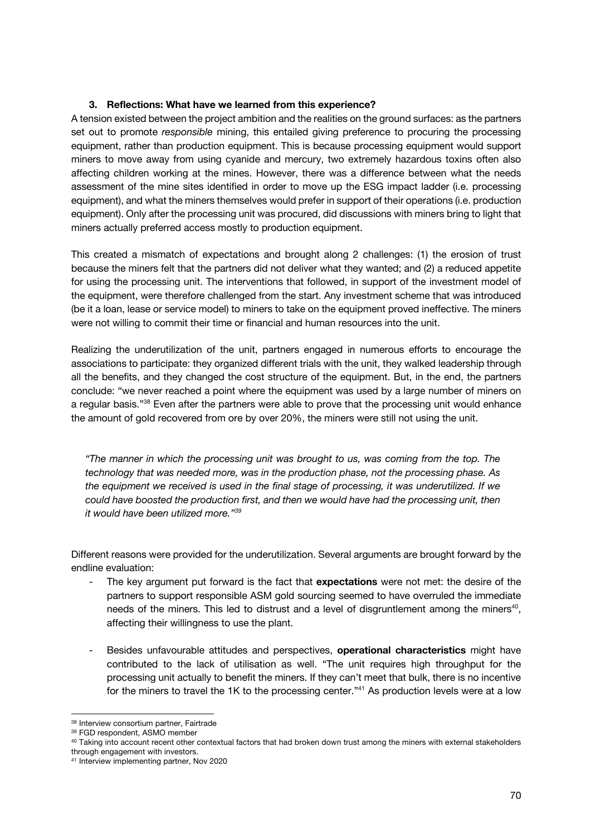#### **3. Reflections: What have we learned from this experience?**

A tension existed between the project ambition and the realities on the ground surfaces: as the partners set out to promote *responsible* mining, this entailed giving preference to procuring the processing equipment, rather than production equipment. This is because processing equipment would support miners to move away from using cyanide and mercury, two extremely hazardous toxins often also affecting children working at the mines. However, there was a difference between what the needs assessment of the mine sites identified in order to move up the ESG impact ladder (i.e. processing equipment), and what the miners themselves would prefer in support of their operations (i.e. production equipment). Only after the processing unit was procured, did discussions with miners bring to light that miners actually preferred access mostly to production equipment.

This created a mismatch of expectations and brought along 2 challenges: (1) the erosion of trust because the miners felt that the partners did not deliver what they wanted; and (2) a reduced appetite for using the processing unit. The interventions that followed, in support of the investment model of the equipment, were therefore challenged from the start. Any investment scheme that was introduced (be it a loan, lease or service model) to miners to take on the equipment proved ineffective. The miners were not willing to commit their time or financial and human resources into the unit.

Realizing the underutilization of the unit, partners engaged in numerous efforts to encourage the associations to participate: they organized different trials with the unit, they walked leadership through all the benefits, and they changed the cost structure of the equipment. But, in the end, the partners conclude: "we never reached a point where the equipment was used by a large number of miners on a regular basis."38 Even after the partners were able to prove that the processing unit would enhance the amount of gold recovered from ore by over 20%, the miners were still not using the unit.

*"The manner in which the processing unit was brought to us, was coming from the top. The technology that was needed more, was in the production phase, not the processing phase. As the equipment we received is used in the final stage of processing, it was underutilized. If we could have boosted the production first, and then we would have had the processing unit, then it would have been utilized more."39*

Different reasons were provided for the underutilization. Several arguments are brought forward by the endline evaluation:

- The key argument put forward is the fact that **expectations** were not met: the desire of the partners to support responsible ASM gold sourcing seemed to have overruled the immediate needs of the miners. This led to distrust and a level of disgruntlement among the miners<sup>40</sup>, affecting their willingness to use the plant.
- Besides unfavourable attitudes and perspectives, **operational characteristics** might have contributed to the lack of utilisation as well. "The unit requires high throughput for the processing unit actually to benefit the miners. If they can't meet that bulk, there is no incentive for the miners to travel the 1K to the processing center."<sup>41</sup> As production levels were at a low

<sup>38</sup> Interview consortium partner, Fairtrade

<sup>39</sup> FGD respondent, ASMO member

<sup>&</sup>lt;sup>40</sup> Taking into account recent other contextual factors that had broken down trust among the miners with external stakeholders through engagement with investors.

<sup>41</sup> Interview implementing partner, Nov 2020